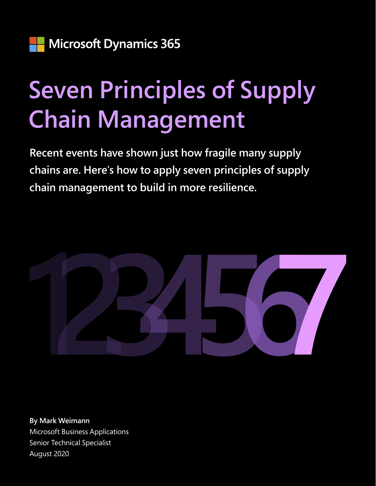# **Seven Principles of Supply Chain Management**

**Recent events have shown just how fragile many supply chains are. Here's how to apply seven principles of supply chain management to build in more resilience.**



**By Mark Weimann** Microsoft Business Applications Senior Technical Specialist August 2020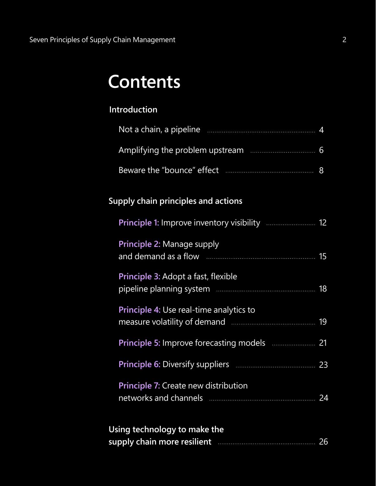# <span id="page-1-0"></span>**Contents**

### **[Introduction](#page-2-0)**

| Not a chain, a pipeline |  |
|-------------------------|--|
|                         |  |
|                         |  |

### **[Supply chain principles and actions](#page-10-0)**

| Principle 2: Manage supply                                          |  |
|---------------------------------------------------------------------|--|
| Principle 3: Adopt a fast, flexible                                 |  |
| Principle 4: Use real-time analytics to                             |  |
| Principle 5: Improve forecasting models <b>Europe 21</b>            |  |
|                                                                     |  |
| Principle 7: Create new distribution                                |  |
| <b><i>Contract Contract Contract Contract Contract Contract</i></b> |  |

| Using technology to make the |  |
|------------------------------|--|
| supply chain more resilient  |  |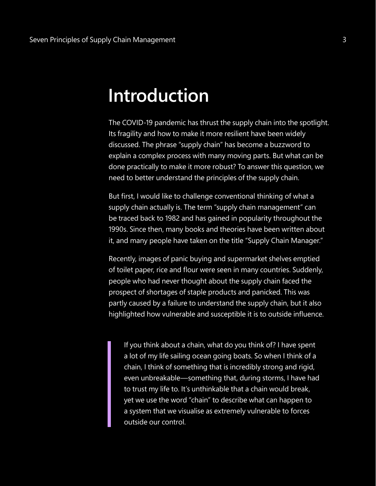# <span id="page-2-0"></span>**Introduction**

The COVID-19 pandemic has thrust the supply chain into the spotlight. Its fragility and how to make it more resilient have been widely discussed. The phrase "supply chain" has become a buzzword to explain a complex process with many moving parts. But what can be done practically to make it more robust? To answer this question, we need to better understand the principles of the supply chain.

But first, I would like to challenge conventional thinking of what a supply chain actually is. The term "supply chain management" can be traced back to 1982 and has gained in popularity throughout the 1990s. Since then, many books and theories have been written about it, and many people have taken on the title "Supply Chain Manager."

Recently, images of panic buying and supermarket shelves emptied of toilet paper, rice and flour were seen in many countries. Suddenly, people who had never thought about the supply chain faced the prospect of shortages of staple products and panicked. This was partly caused by a failure to understand the supply chain, but it also highlighted how vulnerable and susceptible it is to outside influence.

If you think about a chain, what do you think of? I have spent a lot of my life sailing ocean going boats. So when I think of a chain, I think of something that is incredibly strong and rigid, even unbreakable—something that, during storms, I have had to trust my life to. It's unthinkable that a chain would break, yet we use the word "chain" to describe what can happen to a system that we visualise as extremely vulnerable to forces outside our control.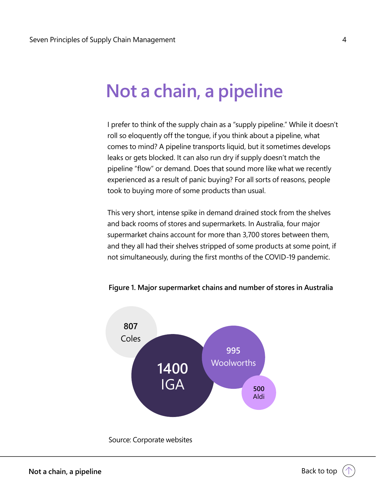# <span id="page-3-0"></span>**Not a chain, a pipeline**

I prefer to think of the supply chain as a "supply pipeline." While it doesn't roll so eloquently off the tongue, if you think about a pipeline, what comes to mind? A pipeline transports liquid, but it sometimes develops leaks or gets blocked. It can also run dry if supply doesn't match the pipeline "flow" or demand. Does that sound more like what we recently experienced as a result of panic buying? For all sorts of reasons, people took to buying more of some products than usual.

This very short, intense spike in demand drained stock from the shelves and back rooms of stores and supermarkets. In Australia, four major supermarket chains account for more than 3,700 stores between them, and they all had their shelves stripped of some products at some point, if not simultaneously, during the first months of the COVID-19 pandemic.



### **Figure 1. Major supermarket chains and number of stores in Australia**

Source: Corporate websites

↑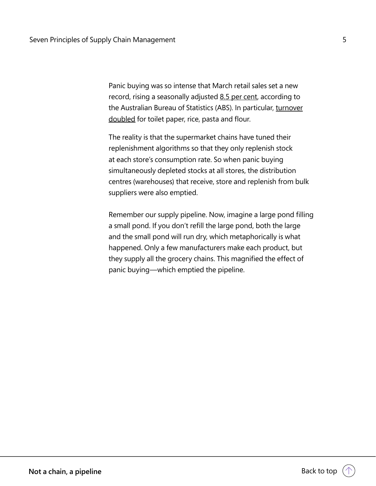Panic buying was so intense that March retail sales set a new record, rising a seasonally adjusted [8.5 per cent](https://www.abs.gov.au/ausstats/abs@.nsf/mf/8501.0), according to the Australian Bureau of Statistics (ABS). In particular, [turnover](https://www.abc.net.au/news/2020-04-22/retail-sales-surge-in-march-toilet-paper-rise-pasta-sales-double/12172606) [doubled](https://www.abc.net.au/news/2020-04-22/retail-sales-surge-in-march-toilet-paper-rise-pasta-sales-double/12172606) for toilet paper, rice, pasta and flour.

The reality is that the supermarket chains have tuned their replenishment algorithms so that they only replenish stock at each store's consumption rate. So when panic buying simultaneously depleted stocks at all stores, the distribution centres (warehouses) that receive, store and replenish from bulk suppliers were also emptied.

Remember our supply pipeline. Now, imagine a large pond filling a small pond. If you don't refill the large pond, both the large and the small pond will run dry, which metaphorically is what happened. Only a few manufacturers make each product, but they supply all the grocery chains. This magnified the effect of panic buying—which emptied the pipeline.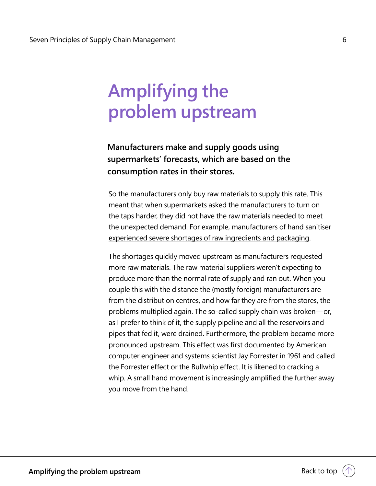# <span id="page-5-0"></span>**Amplifying the problem upstream**

### **Manufacturers make and supply goods using supermarkets' forecasts, which are based on the consumption rates in their stores.**

So the manufacturers only buy raw materials to supply this rate. This meant that when supermarkets asked the manufacturers to turn on the taps harder, they did not have the raw materials needed to meet the unexpected demand. For example, manufacturers of hand sanitiser [experienced severe shortages of raw ingredients and packaging.](https://www.smh.com.au/national/nsw/every-hand-sanitiser-maker-on-earth-is-fighting-for-the-same-materials-20200414-p54jpu.html)

The shortages quickly moved upstream as manufacturers requested more raw materials. The raw material suppliers weren't expecting to produce more than the normal rate of supply and ran out. When you couple this with the distance the (mostly foreign) manufacturers are from the distribution centres, and how far they are from the stores, the problems multiplied again. The so-called supply chain was broken—or, as I prefer to think of it, the supply pipeline and all the reservoirs and pipes that fed it, were drained. Furthermore, the problem became more pronounced upstream. This effect was first documented by American computer engineer and systems scientist [Jay Forrester](https://www.technologyreview.com/2015/06/23/167538/the-many-careers-of-jay-forrester/) in 1961 and called the [Forrester effect](https://www.sccgltd.com/featured-articles/distortion-in-the-supply-chain-beware-the-bullwhip-effect/) or the Bullwhip effect. It is likened to cracking a whip. A small hand movement is increasingly amplified the further away you move from the hand.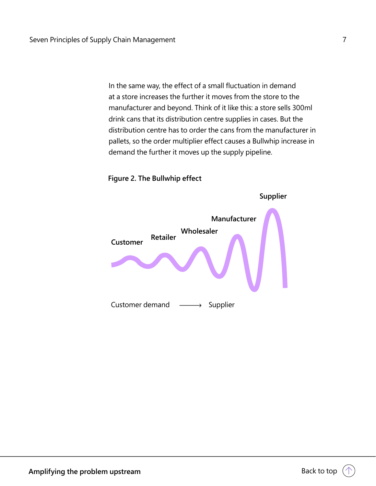In the same way, the effect of a small fluctuation in demand at a store increases the further it moves from the store to the manufacturer and beyond. Think of it like this: a store sells 300ml drink cans that its distribution centre supplies in cases. But the distribution centre has to order the cans from the manufacturer in pallets, so the order multiplier effect causes a Bullwhip increase in demand the further it moves up the supply pipeline.



**Figure 2. The Bullwhip effect**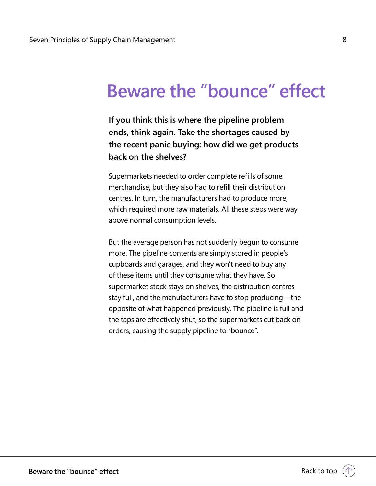# <span id="page-7-0"></span>**Beware the "bounce" effect**

**If you think this is where the pipeline problem ends, think again. Take the shortages caused by the recent panic buying: how did we get products back on the shelves?** 

Supermarkets needed to order complete refills of some merchandise, but they also had to refill their distribution centres. In turn, the manufacturers had to produce more, which required more raw materials. All these steps were way above normal consumption levels.

But the average person has not suddenly begun to consume more. The pipeline contents are simply stored in people's cupboards and garages, and they won't need to buy any of these items until they consume what they have. So supermarket stock stays on shelves, the distribution centres stay full, and the manufacturers have to stop producing—the opposite of what happened previously. The pipeline is full and the taps are effectively shut, so the supermarkets cut back on orders, causing the supply pipeline to "bounce".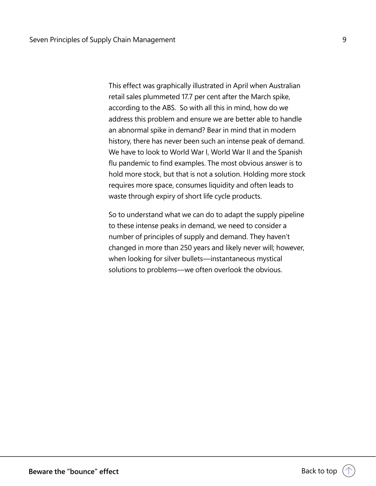This effect was graphically illustrated in April when Australian retail sales plummeted 17.7 per cent after the March spike, according to the ABS. So with all this in mind, how do we address this problem and ensure we are better able to handle an abnormal spike in demand? Bear in mind that in modern history, there has never been such an intense peak of demand. We have to look to World War I, World War II and the Spanish flu pandemic to find examples. The most obvious answer is to hold more stock, but that is not a solution. Holding more stock requires more space, consumes liquidity and often leads to waste through expiry of short life cycle products.

So to understand what we can do to adapt the supply pipeline to these intense peaks in demand, we need to consider a number of principles of supply and demand. They haven't changed in more than 250 years and likely never will; however, when looking for silver bullets—instantaneous mystical solutions to problems—we often overlook the obvious.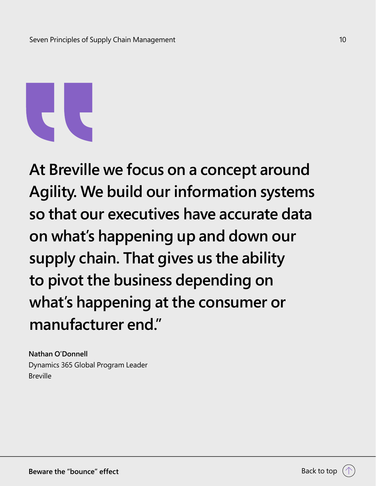**At Breville we focus on a concept around Agility. We build our information systems so that our executives have accurate data on what's happening up and down our supply chain. That gives us the ability to pivot the business depending on what's happening at the consumer or manufacturer end."**

**Nathan O'Donnell** Dynamics 365 Global Program Leader Breville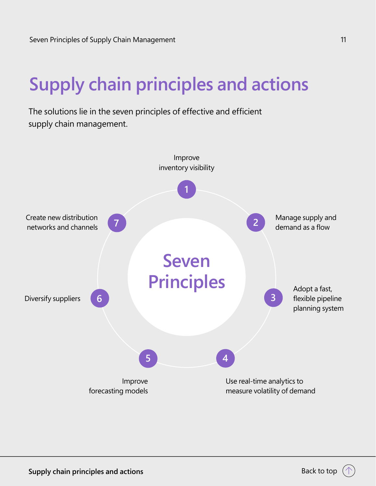# <span id="page-10-0"></span>**Supply chain principles and actions**

The solutions lie in the seven principles of effective and efficient supply chain management.

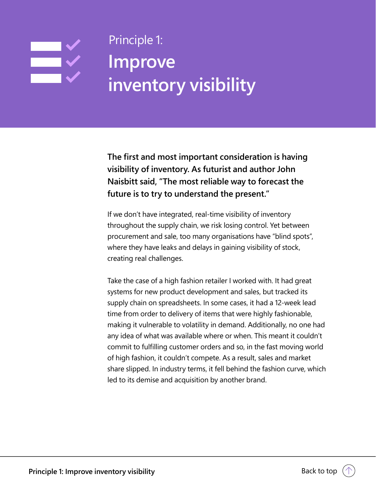## <span id="page-11-0"></span>Seven Principle 1: The Supply Chain Management 12 (1996) and Supply Chain Management 12 (1996) and Supply Chai Ę **Improve inventory visibility**

**The first and most important consideration is having visibility of inventory. As futurist and author John Naisbitt said, "The most reliable way to forecast the future is to try to understand the present."**

If we don't have integrated, real-time visibility of inventory throughout the supply chain, we risk losing control. Yet between procurement and sale, too many organisations have "blind spots", where they have leaks and delays in gaining visibility of stock, creating real challenges.

Take the case of a high fashion retailer I worked with. It had great systems for new product development and sales, but tracked its supply chain on spreadsheets. In some cases, it had a 12-week lead time from order to delivery of items that were highly fashionable, making it vulnerable to volatility in demand. Additionally, no one had any idea of what was available where or when. This meant it couldn't commit to fulfilling customer orders and so, in the fast moving world of high fashion, it couldn't compete. As a result, sales and market share slipped. In industry terms, it fell behind the fashion curve, which led to its demise and acquisition by another brand.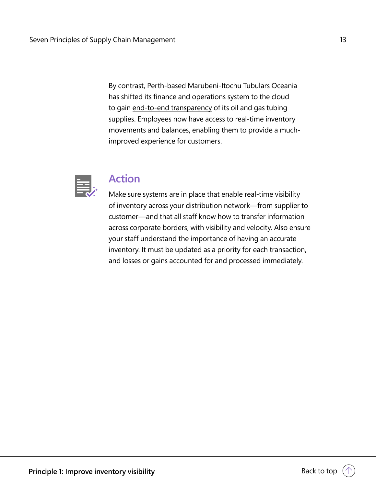By contrast, Perth-based Marubeni-Itochu Tubulars Oceania has shifted its finance and operations system to the cloud to gain [end-to-end transparency](https://news.microsoft.com/en-au/features/mito-pipes-in-cloud-based-finops-transformation-streamlines-business/) of its oil and gas tubing supplies. Employees now have access to real-time inventory movements and balances, enabling them to provide a muchimproved experience for customers.



### **Action**

Make sure systems are in place that enable real-time visibility of inventory across your distribution network—from supplier to customer—and that all staff know how to transfer information across corporate borders, with visibility and velocity. Also ensure your staff understand the importance of having an accurate inventory. It must be updated as a priority for each transaction, and losses or gains accounted for and processed immediately.

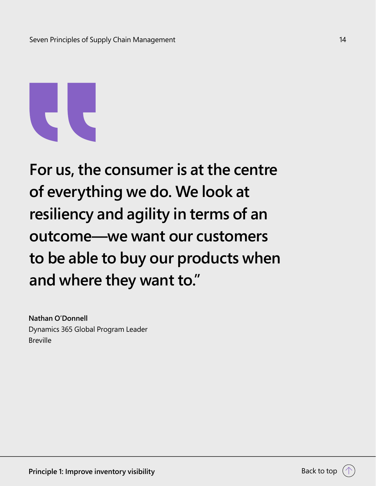

**For us, the consumer is at the centre of everything we do. We look at resiliency and agility in terms of an outcome—we want our customers to be able to buy our products when and where they want to."**

**Nathan O'Donnell** Dynamics 365 Global Program Leader Breville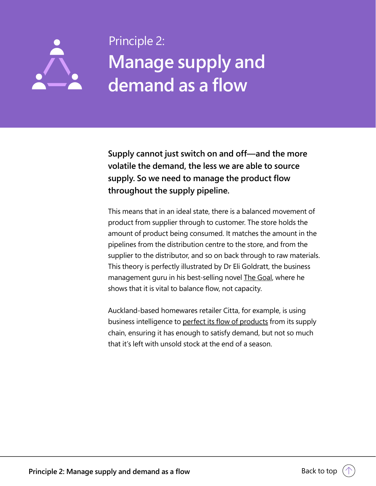## <span id="page-14-0"></span>Seven Principles of Supply Chain Management 15 Principle 2: **Manage supply and**   $\sum$ **demand as a flow**

**Supply cannot just switch on and off—and the more volatile the demand, the less we are able to source supply. So we need to manage the product flow throughout the supply pipeline.**

This means that in an ideal state, there is a balanced movement of product from supplier through to customer. The store holds the amount of product being consumed. It matches the amount in the pipelines from the distribution centre to the store, and from the supplier to the distributor, and so on back through to raw materials. This theory is perfectly illustrated by Dr Eli Goldratt, the business management guru in his best-selling novel **The Goal**, where he shows that it is vital to balance flow, not capacity.

Auckland-based homewares retailer Citta, for example, is using business intelligence to [perfect its flow of products](https://news.microsoft.com/en-au/features/citta-sprinkles-some-goldilocks-magic-with-dynamics-365/) from its supply chain, ensuring it has enough to satisfy demand, but not so much that it's left with unsold stock at the end of a season.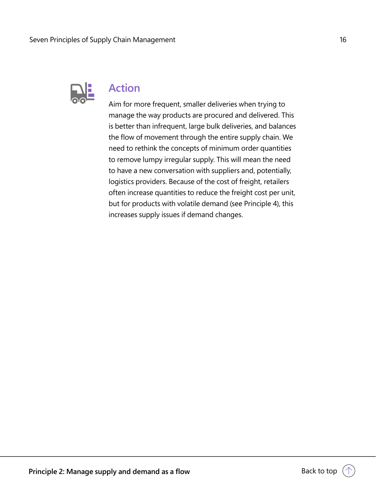

### **Action**

Aim for more frequent, smaller deliveries when trying to manage the way products are procured and delivered. This is better than infrequent, large bulk deliveries, and balances the flow of movement through the entire supply chain. We need to rethink the concepts of minimum order quantities to remove lumpy irregular supply. This will mean the need to have a new conversation with suppliers and, potentially, logistics providers. Because of the cost of freight, retailers often increase quantities to reduce the freight cost per unit, but for products with volatile demand (see Principle 4), this increases supply issues if demand changes.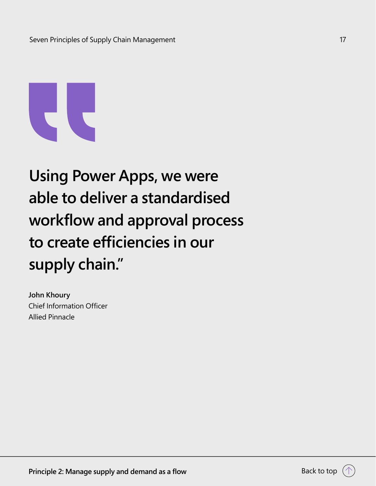

# **Using Power Apps, we were able to deliver a standardised workflow and approval process to create efficiencies in our supply chain."**

**John Khoury** Chief Information Officer Allied Pinnacle

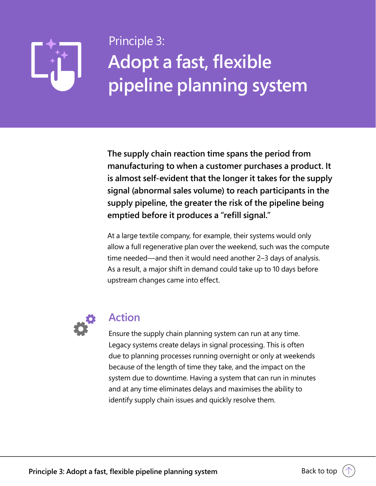# <span id="page-17-0"></span> $\blacktriangleright$   $\blacktriangleright$   $\blacktriangleright$  Principle 3:  $\blacktriangleright$   $\blacktriangleright$   $\blacktriangleright$   $\blacktriangleright$   $\blacktriangleright$   $\blacktriangleright$   $\blacktriangleright$   $\blacktriangleright$   $\blacktriangleright$   $\blacktriangleright$   $\blacktriangleright$   $\blacktriangleright$   $\blacktriangleright$   $\blacktriangleright$   $\blacktriangleright$   $\blacktriangleright$   $\blacktriangleright$   $\blacktriangleright$   $\blacktriangleright$   $\blacktriangleright$   $\blacktriangleright$   $\blacktriangleright$   $\blacktriangleright$  **Adopt a fast, flexible pipeline planning system**

**The supply chain reaction time spans the period from manufacturing to when a customer purchases a product. It is almost self-evident that the longer it takes for the supply signal (abnormal sales volume) to reach participants in the supply pipeline, the greater the risk of the pipeline being emptied before it produces a "refill signal."**

At a large textile company, for example, their systems would only allow a full regenerative plan over the weekend, such was the compute time needed—and then it would need another 2–3 days of analysis. As a result, a major shift in demand could take up to 10 days before upstream changes came into effect.



### **Action**

Ensure the supply chain planning system can run at any time. Legacy systems create delays in signal processing. This is often due to planning processes running overnight or only at weekends because of the length of time they take, and the impact on the system due to downtime. Having a system that can run in minutes and at any time eliminates delays and maximises the ability to identify supply chain issues and quickly resolve them.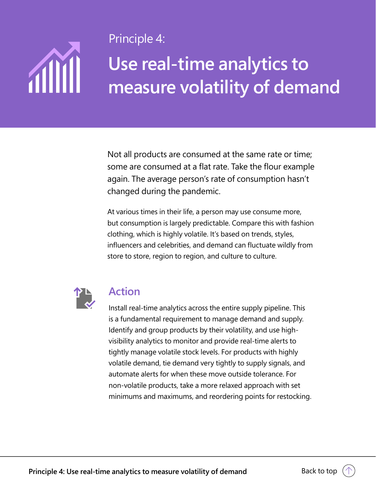# **ANTI**

<span id="page-18-0"></span>Seven Principles of Supply Chain Management 19 Principle 4:

# **Use real-time analytics to measure volatility of demand**

Not all products are consumed at the same rate or time; some are consumed at a flat rate. Take the flour example again. The average person's rate of consumption hasn't changed during the pandemic.

At various times in their life, a person may use consume more, but consumption is largely predictable. Compare this with fashion clothing, which is highly volatile. It's based on trends, styles, influencers and celebrities, and demand can fluctuate wildly from store to store, region to region, and culture to culture.



### **Action**

Install real-time analytics across the entire supply pipeline. This is a fundamental requirement to manage demand and supply. Identify and group products by their volatility, and use highvisibility analytics to monitor and provide real-time alerts to tightly manage volatile stock levels. For products with highly volatile demand, tie demand very tightly to supply signals, and automate alerts for when these move outside tolerance. For non-volatile products, take a more relaxed approach with set minimums and maximums, and reordering points for restocking.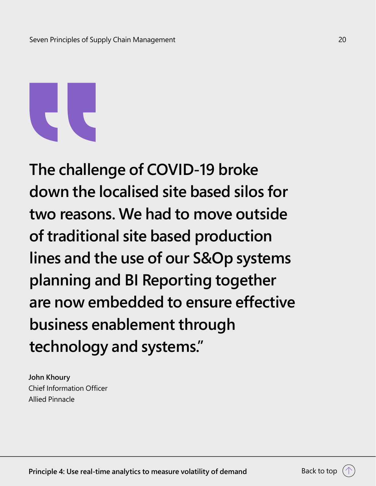**The challenge of COVID-19 broke down the localised site based silos for two reasons. We had to move outside of traditional site based production lines and the use of our S&Op systems planning and BI Reporting together are now embedded to ensure effective business enablement through technology and systems."**

**John Khoury** Chief Information Officer Allied Pinnacle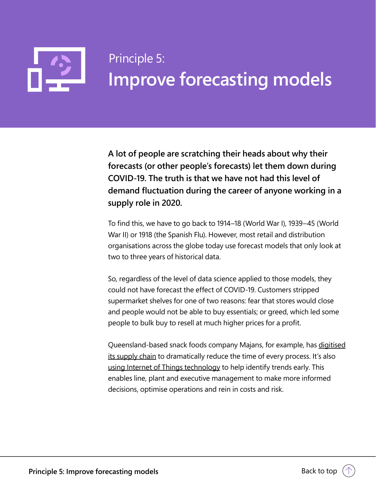<span id="page-20-0"></span>

# **Improve forecasting models** Principle 5:

**A lot of people are scratching their heads about why their forecasts (or other people's forecasts) let them down during COVID-19. The truth is that we have not had this level of demand fluctuation during the career of anyone working in a supply role in 2020.**

To find this, we have to go back to 1914–18 (World War I), 1939–45 (World War II) or 1918 (the Spanish Flu). However, most retail and distribution organisations across the globe today use forecast models that only look at two to three years of historical data.

So, regardless of the level of data science applied to those models, they could not have forecast the effect of COVID-19. Customers stripped supermarket shelves for one of two reasons: fear that stores would close and people would not be able to buy essentials; or greed, which led some people to bulk buy to resell at much higher prices for a profit.

Queensland-based snack foods company Majans, for example, has [digitised](https://news.microsoft.com/en-au/features/majans-spices-up-operations-with-dynamics-365-lays-foundations-for-factory-of-the-future/) [its supply chain](https://news.microsoft.com/en-au/features/majans-spices-up-operations-with-dynamics-365-lays-foundations-for-factory-of-the-future/) to dramatically reduce the time of every process. It's also [using Internet of Things technology](https://news.microsoft.com/en-au/features/majans-pioneers-iot-intelligence-in-factory-of-the-future/) to help identify trends early. This enables line, plant and executive management to make more informed decisions, optimise operations and rein in costs and risk.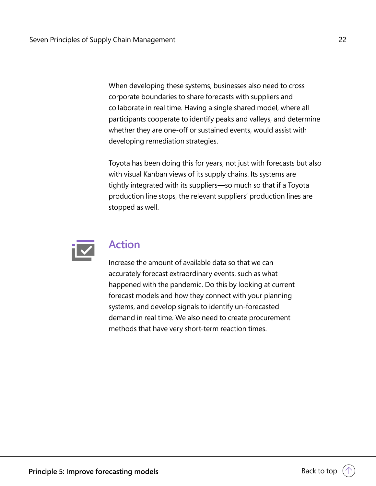When developing these systems, businesses also need to cross corporate boundaries to share forecasts with suppliers and collaborate in real time. Having a single shared model, where all participants cooperate to identify peaks and valleys, and determine whether they are one-off or sustained events, would assist with developing remediation strategies.

Toyota has been doing this for years, not just with forecasts but also with visual Kanban views of its supply chains. Its systems are tightly integrated with its suppliers—so much so that if a Toyota production line stops, the relevant suppliers' production lines are stopped as well.



### **Action**

Increase the amount of available data so that we can accurately forecast extraordinary events, such as what happened with the pandemic. Do this by looking at current forecast models and how they connect with your planning systems, and develop signals to identify un-forecasted demand in real time. We also need to create procurement methods that have very short-term reaction times.

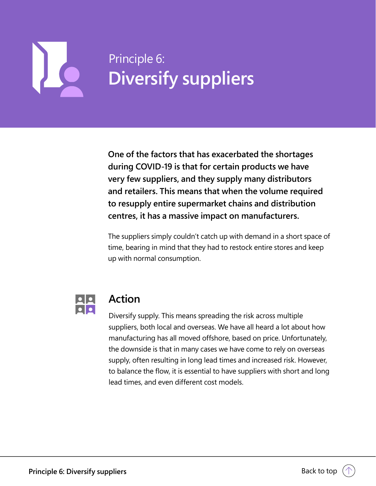# <span id="page-22-0"></span>Seven Principles of Supply Chain Management 23  $\mathbf{L}$

# **Diversify suppliers** Principle 6:

**One of the factors that has exacerbated the shortages during COVID-19 is that for certain products we have very few suppliers, and they supply many distributors and retailers. This means that when the volume required to resupply entire supermarket chains and distribution centres, it has a massive impact on manufacturers.**

The suppliers simply couldn't catch up with demand in a short space of time, bearing in mind that they had to restock entire stores and keep up with normal consumption.



### **Action**

Diversify supply. This means spreading the risk across multiple suppliers, both local and overseas. We have all heard a lot about how manufacturing has all moved offshore, based on price. Unfortunately, the downside is that in many cases we have come to rely on overseas supply, often resulting in long lead times and increased risk. However, to balance the flow, it is essential to have suppliers with short and long lead times, and even different cost models.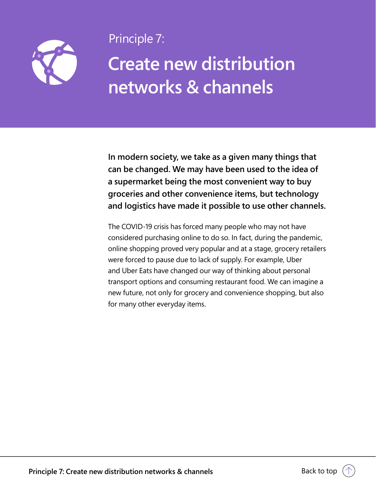<span id="page-23-0"></span>

Seven Principles of Supply Chain Management 24 Principle 7:

# **Create new distribution networks & channels**

**In modern society, we take as a given many things that can be changed. We may have been used to the idea of a supermarket being the most convenient way to buy groceries and other convenience items, but technology and logistics have made it possible to use other channels.**

The COVID-19 crisis has forced many people who may not have considered purchasing online to do so. In fact, during the pandemic, online shopping proved very popular and at a stage, grocery retailers were forced to pause due to lack of supply. For example, Uber and Uber Eats have changed our way of thinking about personal transport options and consuming restaurant food. We can imagine a new future, not only for grocery and convenience shopping, but also for many other everyday items.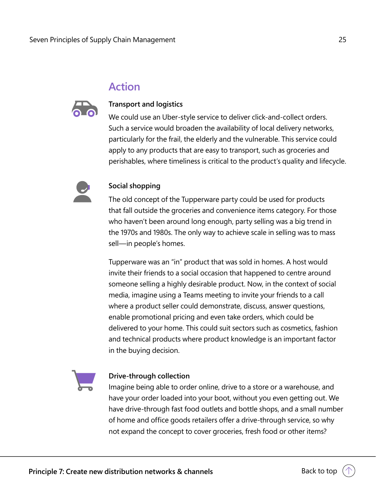### **Action**



### **Transport and logistics**

We could use an Uber-style service to deliver click-and-collect orders. Such a service would broaden the availability of local delivery networks, particularly for the frail, the elderly and the vulnerable. This service could apply to any products that are easy to transport, such as groceries and perishables, where timeliness is critical to the product's quality and lifecycle.



### **Social shopping**

The old concept of the Tupperware party could be used for products that fall outside the groceries and convenience items category. For those who haven't been around long enough, party selling was a big trend in the 1970s and 1980s. The only way to achieve scale in selling was to mass sell—in people's homes.

Tupperware was an "in" product that was sold in homes. A host would invite their friends to a social occasion that happened to centre around someone selling a highly desirable product. Now, in the context of social media, imagine using a Teams meeting to invite your friends to a call where a product seller could demonstrate, discuss, answer questions, enable promotional pricing and even take orders, which could be delivered to your home. This could suit sectors such as cosmetics, fashion and technical products where product knowledge is an important factor in the buying decision.



### **Drive-through collection**

Imagine being able to order online, drive to a store or a warehouse, and have your order loaded into your boot, without you even getting out. We have drive-through fast food outlets and bottle shops, and a small number of home and office goods retailers offer a drive-through service, so why not expand the concept to cover groceries, fresh food or other items?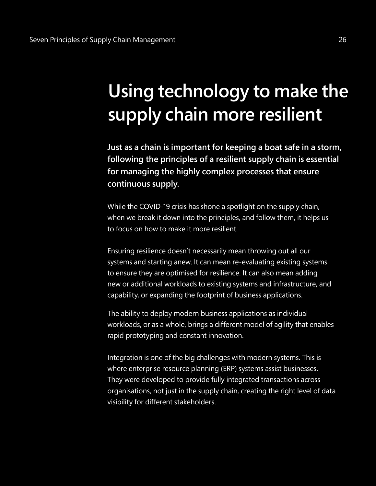# <span id="page-25-0"></span>**Using technology to make the supply chain more resilient**

**Just as a chain is important for keeping a boat safe in a storm, following the principles of a resilient supply chain is essential for managing the highly complex processes that ensure continuous supply.**

While the COVID-19 crisis has shone a spotlight on the supply chain, when we break it down into the principles, and follow them, it helps us to focus on how to make it more resilient.

Ensuring resilience doesn't necessarily mean throwing out all our systems and starting anew. It can mean re-evaluating existing systems to ensure they are optimised for resilience. It can also mean adding new or additional workloads to existing systems and infrastructure, and capability, or expanding the footprint of business applications.

The ability to deploy modern business applications as individual workloads, or as a whole, brings a different model of agility that enables rapid prototyping and constant innovation.

Integration is one of the big challenges with modern systems. This is where enterprise resource planning (ERP) systems assist businesses. They were developed to provide fully integrated transactions across organisations, not just in the supply chain, creating the right level of data visibility for different stakeholders.